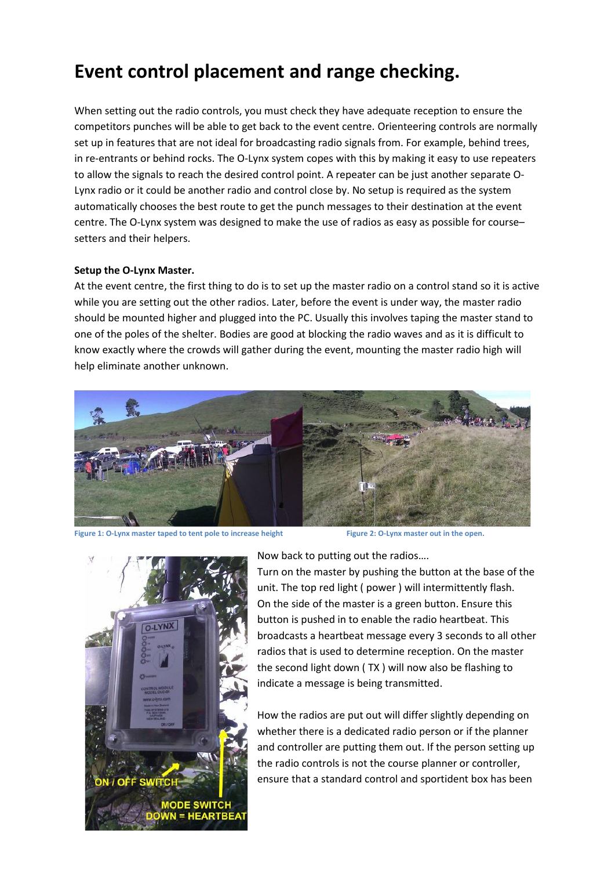# **Event control placement and range checking.**

When setting out the radio controls, you must check they have adequate reception to ensure the competitors punches will be able to get back to the event centre. Orienteering controls are normally set up in features that are not ideal for broadcasting radio signals from. For example, behind trees, in re-entrants or behind rocks. The O-Lynx system copes with this by making it easy to use repeaters to allow the signals to reach the desired control point. A repeater can be just another separate O- Lynx radio or it could be another radio and control close by. No setup is required as the system automatically chooses the best route to get the punch messages to their destination at the event centre. The O-Lynx system was designed to make the use of radios as easy as possible for course– setters and their helpers.

#### **Setup the O-Lynx Master.**

At the event centre, the first thing to do is to set up the master radio on a control stand so it is active while you are setting out the other radios. Later, before the event is under way, the master radio should be mounted higher and plugged into the PC. Usually this involves taping the master stand to one of the poles of the shelter. Bodies are good at blocking the radio waves and as it is difficult to know exactly where the crowds will gather during the event, mounting the master radio high will help eliminate another unknown.



**Figure 1: O-Lynx master taped to tent pole to increase height Figure 2: O-Lynx master out in the open.**



Now back to putting out the radios….

Turn on the master by pushing the button at the base of the unit. The top red light ( power ) will intermittently flash. On the side of the master is a green button. Ensure this button is pushed in to enable the radio heartbeat. This broadcasts a heartbeat message every 3 seconds to all other radios that is used to determine reception. On the master the second light down ( TX ) will now also be flashing to indicate a message is being transmitted.

How the radios are put out will differ slightly depending on whether there is a dedicated radio person or if the planner and controller are putting them out. If the person setting up the radio controls is not the course planner or controller, ensure that a standard control and sportident box has been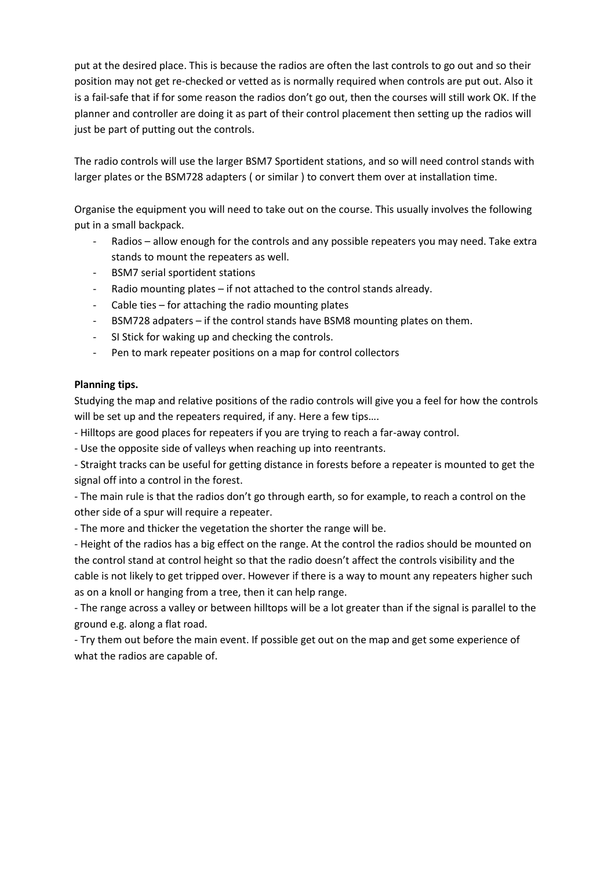put at the desired place. This is because the radios are often the last controls to go out and so their position may not get re-checked or vetted as is normally required when controls are put out. Also it is a fail-safe that if for some reason the radios don't go out, then the courses will still work OK. If the planner and controller are doing it as part of their control placement then setting up the radios will just be part of putting out the controls.

The radio controls will use the larger BSM7 Sportident stations, and so will need control stands with larger plates or the BSM728 adapters ( or similar ) to convert them over at installation time.

Organise the equipment you will need to take out on the course. This usually involves the following put in a small backpack.

- Radios allow enough for the controls and any possible repeaters you may need. Take extra stands to mount the repeaters as well.
- BSM7 serial sportident stations
- Radio mounting plates if not attached to the control stands already.
- Cable ties for attaching the radio mounting plates
- BSM728 adpaters if the control stands have BSM8 mounting plates on them.
- SI Stick for waking up and checking the controls.
- Pen to mark repeater positions on a map for control collectors

### **Planning tips.**

Studying the map and relative positions of the radio controls will give you a feel for how the controls will be set up and the repeaters required, if any. Here a few tips….

- Hilltops are good places for repeaters if you are trying to reach a far-away control.

- Use the opposite side of valleys when reaching up into reentrants.

- Straight tracks can be useful for getting distance in forests before a repeater is mounted to get the signal off into a control in the forest.

- The main rule is that the radios don't go through earth, so for example, to reach a control on the other side of a spur will require a repeater.

- The more and thicker the vegetation the shorter the range will be.

- Height of the radios has a big effect on the range. At the control the radios should be mounted on the control stand at control height so that the radio doesn't affect the controls visibility and the cable is not likely to get tripped over. However if there is a way to mount any repeaters higher such as on a knoll or hanging from a tree, then it can help range.

- The range across a valley or between hilltops will be a lot greater than if the signal is parallel to the ground e.g. along a flat road.

- Try them out before the main event. If possible get out on the map and get some experience of what the radios are capable of.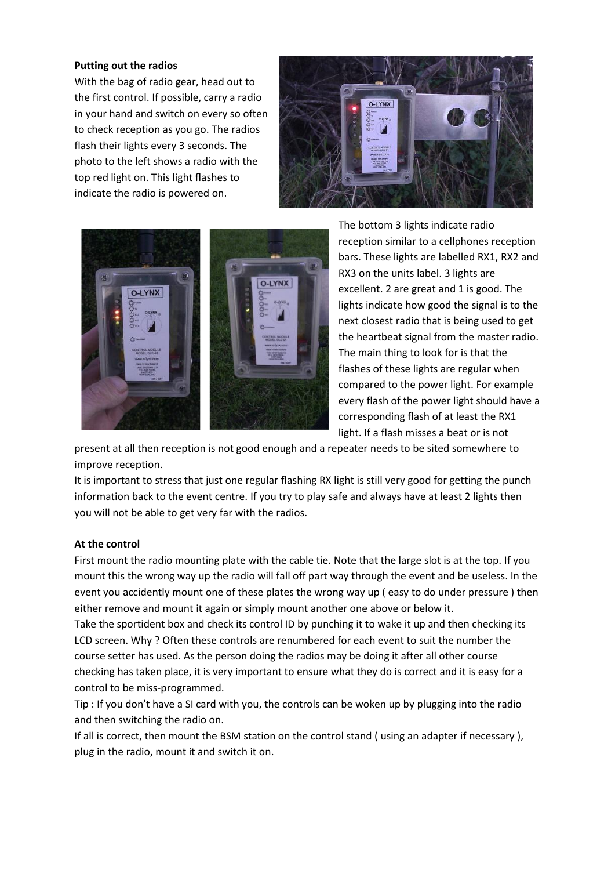#### **Putting out the radios**

With the bag of radio gear, head out to the first control. If possible, carry a radio in your hand and switch on every so often to check reception as you go. The radios flash their lights every 3 seconds. The photo to the left shows a radio with the top red light on. This light flashes to indicate the radio is powered on.





The bottom 3 lights indicate radio reception similar to a cellphones reception bars. These lights are labelled RX1, RX2 and RX3 on the units label. 3 lights are excellent. 2 are great and 1 is good. The lights indicate how good the signal is to the next closest radio that is being used to get the heartbeat signal from the master radio. The main thing to look for is that the flashes of these lights are regular when compared to the power light. For example every flash of the power light should have a corresponding flash of at least the RX1 light. If a flash misses a beat or is not

present at all then reception is not good enough and a repeater needs to be sited somewhere to improve reception.

It is important to stress that just one regular flashing RX light is still very good for getting the punch information back to the event centre. If you try to play safe and always have at least 2 lights then you will not be able to get very far with the radios.

#### **At the control**

First mount the radio mounting plate with the cable tie. Note that the large slot is at the top. If you mount this the wrong way up the radio will fall off part way through the event and be useless. In the event you accidently mount one of these plates the wrong way up ( easy to do under pressure ) then either remove and mount it again or simply mount another one above or below it.

Take the sportident box and check its control ID by punching it to wake it up and then checking its LCD screen. Why ? Often these controls are renumbered for each event to suit the number the course setter has used. As the person doing the radios may be doing it after all other course checking has taken place, it is very important to ensure what they do is correct and it is easy for a control to be miss-programmed.

Tip : If you don't have a SI card with you, the controls can be woken up by plugging into the radio and then switching the radio on.

If all is correct, then mount the BSM station on the control stand ( using an adapter if necessary ), plug in the radio, mount it and switch it on.